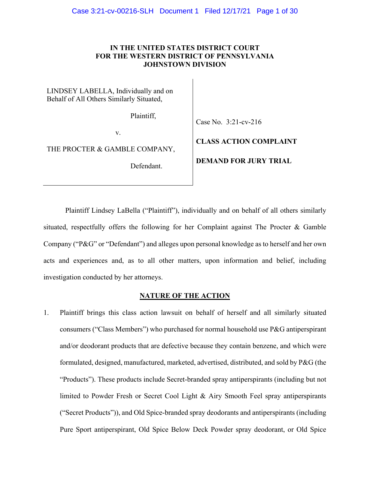# **IN THE UNITED STATES DISTRICT COURT FOR THE WESTERN DISTRICT OF PENNSYLVANIA JOHNSTOWN DIVISION**

LINDSEY LABELLA, Individually and on Behalf of All Others Similarly Situated,

Plaintiff,

Case No. 3:21-cv-216

v.

THE PROCTER & GAMBLE COMPANY,

Defendant.

**DEMAND FOR JURY TRIAL**

**CLASS ACTION COMPLAINT**

Plaintiff Lindsey LaBella ("Plaintiff"), individually and on behalf of all others similarly situated, respectfully offers the following for her Complaint against The Procter  $\&$  Gamble Company ("P&G" or "Defendant") and alleges upon personal knowledge as to herself and her own acts and experiences and, as to all other matters, upon information and belief, including investigation conducted by her attorneys.

# **NATURE OF THE ACTION**

1. Plaintiff brings this class action lawsuit on behalf of herself and all similarly situated consumers ("Class Members") who purchased for normal household use P&G antiperspirant and/or deodorant products that are defective because they contain benzene, and which were formulated, designed, manufactured, marketed, advertised, distributed, and sold by P&G (the "Products"). These products include Secret-branded spray antiperspirants (including but not limited to Powder Fresh or Secret Cool Light & Airy Smooth Feel spray antiperspirants ("Secret Products")), and Old Spice-branded spray deodorants and antiperspirants (including Pure Sport antiperspirant, Old Spice Below Deck Powder spray deodorant, or Old Spice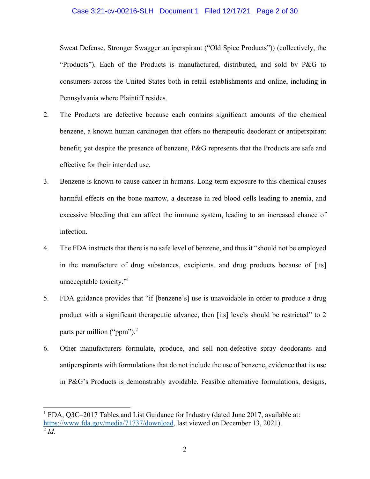### Case 3:21-cv-00216-SLH Document 1 Filed 12/17/21 Page 2 of 30

Sweat Defense, Stronger Swagger antiperspirant ("Old Spice Products")) (collectively, the "Products"). Each of the Products is manufactured, distributed, and sold by P&G to consumers across the United States both in retail establishments and online, including in Pennsylvania where Plaintiff resides.

- 2. The Products are defective because each contains significant amounts of the chemical benzene, a known human carcinogen that offers no therapeutic deodorant or antiperspirant benefit; yet despite the presence of benzene, P&G represents that the Products are safe and effective for their intended use.
- 3. Benzene is known to cause cancer in humans. Long-term exposure to this chemical causes harmful effects on the bone marrow, a decrease in red blood cells leading to anemia, and excessive bleeding that can affect the immune system, leading to an increased chance of infection.
- 4. The FDA instructs that there is no safe level of benzene, and thus it "should not be employed in the manufacture of drug substances, excipients, and drug products because of [its] unacceptable toxicity."1
- 5. FDA guidance provides that "if [benzene's] use is unavoidable in order to produce a drug product with a significant therapeutic advance, then [its] levels should be restricted" to 2 parts per million ("ppm").<sup>2</sup>
- 6. Other manufacturers formulate, produce, and sell non-defective spray deodorants and antiperspirants with formulations that do not include the use of benzene, evidence that its use in P&G's Products is demonstrably avoidable. Feasible alternative formulations, designs,

<sup>&</sup>lt;sup>1</sup> FDA, Q3C-2017 Tables and List Guidance for Industry (dated June 2017, available at: https://www.fda.gov/media/71737/download, last viewed on December 13, 2021).  $\overline{2}$  *Id.*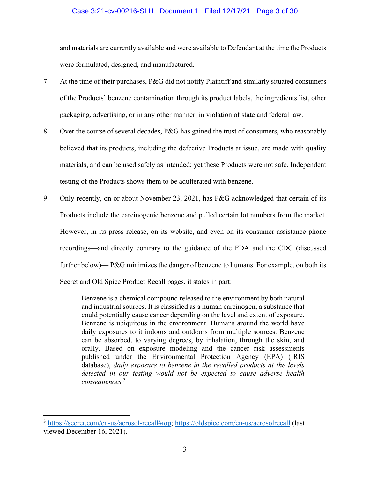# Case 3:21-cv-00216-SLH Document 1 Filed 12/17/21 Page 3 of 30

and materials are currently available and were available to Defendant at the time the Products were formulated, designed, and manufactured.

- 7. At the time of their purchases, P&G did not notify Plaintiff and similarly situated consumers of the Products' benzene contamination through its product labels, the ingredients list, other packaging, advertising, or in any other manner, in violation of state and federal law.
- 8. Over the course of several decades, P&G has gained the trust of consumers, who reasonably believed that its products, including the defective Products at issue, are made with quality materials, and can be used safely as intended; yet these Products were not safe. Independent testing of the Products shows them to be adulterated with benzene.
- 9. Only recently, on or about November 23, 2021, has P&G acknowledged that certain of its Products include the carcinogenic benzene and pulled certain lot numbers from the market. However, in its press release, on its website, and even on its consumer assistance phone recordings—and directly contrary to the guidance of the FDA and the CDC (discussed further below)— P&G minimizes the danger of benzene to humans. For example, on both its Secret and Old Spice Product Recall pages, it states in part:

Benzene is a chemical compound released to the environment by both natural and industrial sources. It is classified as a human carcinogen, a substance that could potentially cause cancer depending on the level and extent of exposure. Benzene is ubiquitous in the environment. Humans around the world have daily exposures to it indoors and outdoors from multiple sources. Benzene can be absorbed, to varying degrees, by inhalation, through the skin, and orally. Based on exposure modeling and the cancer risk assessments published under the Environmental Protection Agency (EPA) (IRIS database), *daily exposure to benzene in the recalled products at the levels detected in our testing would not be expected to cause adverse health consequences.*<sup>3</sup>

<sup>&</sup>lt;sup>3</sup> https://secret.com/en-us/aerosol-recall#top; https://oldspice.com/en-us/aerosolrecall (last viewed December 16, 2021).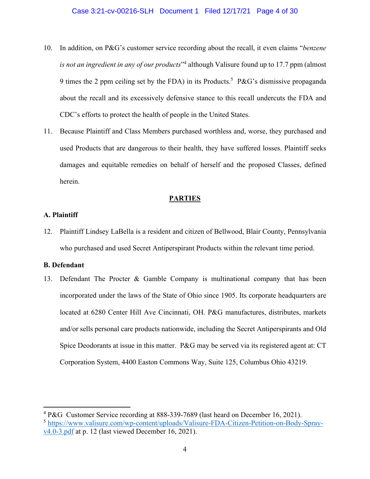- 10. In addition, on P&G's customer service recording about the recall, it even claims "*benzene is not an ingredient in any of our products*"4 although Valisure found up to 17.7 ppm (almost 9 times the 2 ppm ceiling set by the FDA) in its Products.<sup>5</sup> P&G's dismissive propaganda about the recall and its excessively defensive stance to this recall undercuts the FDA and CDC's efforts to protect the health of people in the United States.
- 11. Because Plaintiff and Class Members purchased worthless and, worse, they purchased and used Products that are dangerous to their health, they have suffered losses. Plaintiff seeks damages and equitable remedies on behalf of herself and the proposed Classes, defined herein.

# **PARTIES**

# **A. Plaintiff**

12. Plaintiff Lindsey LaBella is a resident and citizen of Bellwood, Blair County, Pennsylvania who purchased and used Secret Antiperspirant Products within the relevant time period.

#### **B. Defendant**

13. Defendant The Procter & Gamble Company is multinational company that has been incorporated under the laws of the State of Ohio since 1905. Its corporate headquarters are located at 6280 Center Hill Ave Cincinnati, OH. P&G manufactures, distributes, markets and/or sells personal care products nationwide, including the Secret Antiperspirants and Old Spice Deodorants at issue in this matter. P&G may be served via its registered agent at: CT Corporation System, 4400 Easton Commons Way, Suite 125, Columbus Ohio 43219.

<sup>&</sup>lt;sup>4</sup> P&G Customer Service recording at 888-339-7689 (last heard on December 16, 2021).

<sup>5</sup> https://www.valisure.com/wp-content/uploads/Valisure-FDA-Citizen-Petition-on-Body-Sprayv4.0-3.pdf at p. 12 (last viewed December 16, 2021).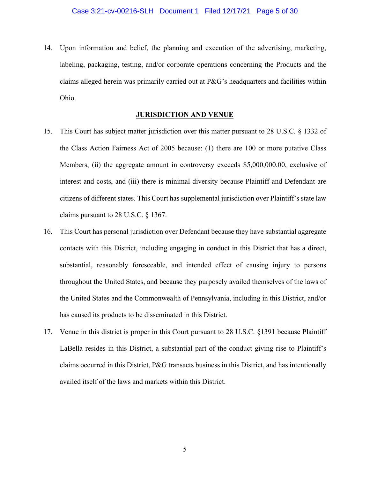14. Upon information and belief, the planning and execution of the advertising, marketing, labeling, packaging, testing, and/or corporate operations concerning the Products and the claims alleged herein was primarily carried out at P&G's headquarters and facilities within Ohio.

# **JURISDICTION AND VENUE**

- 15. This Court has subject matter jurisdiction over this matter pursuant to 28 U.S.C. § 1332 of the Class Action Fairness Act of 2005 because: (1) there are 100 or more putative Class Members, (ii) the aggregate amount in controversy exceeds \$5,000,000.00, exclusive of interest and costs, and (iii) there is minimal diversity because Plaintiff and Defendant are citizens of different states. This Court has supplemental jurisdiction over Plaintiff's state law claims pursuant to 28 U.S.C. § 1367.
- 16. This Court has personal jurisdiction over Defendant because they have substantial aggregate contacts with this District, including engaging in conduct in this District that has a direct, substantial, reasonably foreseeable, and intended effect of causing injury to persons throughout the United States, and because they purposely availed themselves of the laws of the United States and the Commonwealth of Pennsylvania, including in this District, and/or has caused its products to be disseminated in this District.
- 17. Venue in this district is proper in this Court pursuant to 28 U.S.C. §1391 because Plaintiff LaBella resides in this District, a substantial part of the conduct giving rise to Plaintiff's claims occurred in this District, P&G transacts business in this District, and has intentionally availed itself of the laws and markets within this District.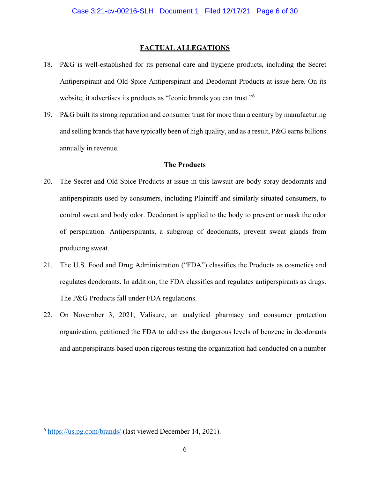# **FACTUAL ALLEGATIONS**

- 18. P&G is well-established for its personal care and hygiene products, including the Secret Antiperspirant and Old Spice Antiperspirant and Deodorant Products at issue here. On its website, it advertises its products as "Iconic brands you can trust."6
- 19. P&G built its strong reputation and consumer trust for more than a century by manufacturing and selling brands that have typically been of high quality, and as a result, P&G earns billions annually in revenue.

### **The Products**

- 20. The Secret and Old Spice Products at issue in this lawsuit are body spray deodorants and antiperspirants used by consumers, including Plaintiff and similarly situated consumers, to control sweat and body odor. Deodorant is applied to the body to prevent or mask the odor of perspiration. Antiperspirants, a subgroup of deodorants, prevent sweat glands from producing sweat.
- 21. The U.S. Food and Drug Administration ("FDA") classifies the Products as cosmetics and regulates deodorants. In addition, the FDA classifies and regulates antiperspirants as drugs. The P&G Products fall under FDA regulations.
- 22. On November 3, 2021, Valisure, an analytical pharmacy and consumer protection organization, petitioned the FDA to address the dangerous levels of benzene in deodorants and antiperspirants based upon rigorous testing the organization had conducted on a number

<sup>6</sup> https://us.pg.com/brands/ (last viewed December 14, 2021).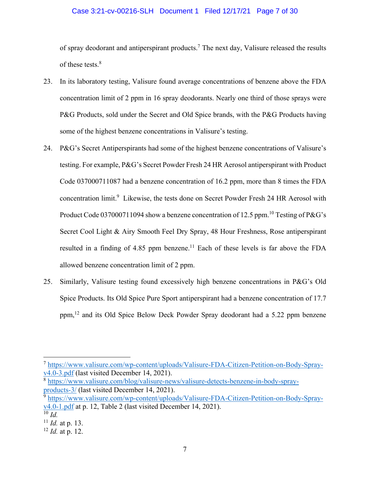# Case 3:21-cv-00216-SLH Document 1 Filed 12/17/21 Page 7 of 30

of spray deodorant and antiperspirant products.<sup>7</sup> The next day, Valisure released the results of these tests.<sup>8</sup>

- 23. In its laboratory testing, Valisure found average concentrations of benzene above the FDA concentration limit of 2 ppm in 16 spray deodorants. Nearly one third of those sprays were P&G Products, sold under the Secret and Old Spice brands, with the P&G Products having some of the highest benzene concentrations in Valisure's testing.
- 24. P&G's Secret Antiperspirants had some of the highest benzene concentrations of Valisure's testing. For example, P&G's Secret Powder Fresh 24 HR Aerosol antiperspirant with Product Code 037000711087 had a benzene concentration of 16.2 ppm, more than 8 times the FDA concentration limit.<sup>9</sup> Likewise, the tests done on Secret Powder Fresh 24 HR Aerosol with Product Code 037000711094 show a benzene concentration of 12.5 ppm.<sup>10</sup> Testing of P&G's Secret Cool Light & Airy Smooth Feel Dry Spray, 48 Hour Freshness, Rose antiperspirant resulted in a finding of  $4.85$  ppm benzene.<sup>11</sup> Each of these levels is far above the FDA allowed benzene concentration limit of 2 ppm.
- 25. Similarly, Valisure testing found excessively high benzene concentrations in P&G's Old Spice Products. Its Old Spice Pure Sport antiperspirant had a benzene concentration of 17.7 ppm,12 and its Old Spice Below Deck Powder Spray deodorant had a 5.22 ppm benzene

<sup>7</sup> https://www.valisure.com/wp-content/uploads/Valisure-FDA-Citizen-Petition-on-Body-Sprayv4.0-3.pdf (last visited December 14, 2021).

<sup>8</sup> https://www.valisure.com/blog/valisure-news/valisure-detects-benzene-in-body-sprayproducts-3/ (last visited December 14, 2021).

<sup>9</sup> https://www.valisure.com/wp-content/uploads/Valisure-FDA-Citizen-Petition-on-Body-Sprayv4.0-1.pdf at p. 12, Table 2 (last visited December 14, 2021). <sup>10</sup> *Id.* 

<sup>11</sup> *Id.* at p. 13.

<sup>12</sup> *Id.* at p. 12.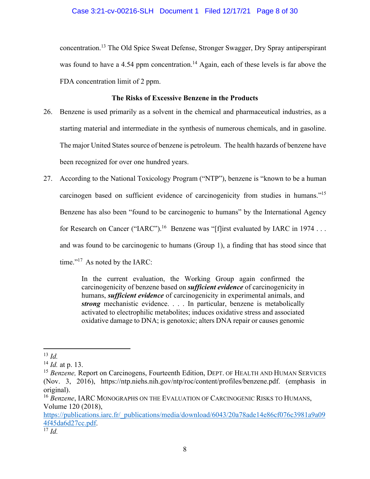concentration.13 The Old Spice Sweat Defense, Stronger Swagger, Dry Spray antiperspirant was found to have a 4.54 ppm concentration.<sup>14</sup> Again, each of these levels is far above the FDA concentration limit of 2 ppm.

# **The Risks of Excessive Benzene in the Products**

- 26. Benzene is used primarily as a solvent in the chemical and pharmaceutical industries, as a starting material and intermediate in the synthesis of numerous chemicals, and in gasoline. The major United States source of benzene is petroleum. The health hazards of benzene have been recognized for over one hundred years.
- 27. According to the National Toxicology Program ("NTP"), benzene is "known to be a human carcinogen based on sufficient evidence of carcinogenicity from studies in humans."15 Benzene has also been "found to be carcinogenic to humans" by the International Agency for Research on Cancer ("IARC").<sup>16</sup> Benzene was "[f]irst evaluated by IARC in 1974 . . . and was found to be carcinogenic to humans (Group 1), a finding that has stood since that time."<sup>17</sup> As noted by the IARC:

In the current evaluation, the Working Group again confirmed the carcinogenicity of benzene based on *sufficient evidence* of carcinogenicity in humans, *sufficient evidence* of carcinogenicity in experimental animals, and *strong* mechanistic evidence. . . . In particular, benzene is metabolically activated to electrophilic metabolites; induces oxidative stress and associated oxidative damage to DNA; is genotoxic; alters DNA repair or causes genomic

<sup>16</sup> *Benzene*, IARC MONOGRAPHS ON THE EVALUATION OF CARCINOGENIC RISKS TO HUMANS, Volume 120 (2018),

https://publications.iarc.fr/\_publications/media/download/6043/20a78ade14e86cf076c3981a9a09 4f45da6d27cc.pdf. 17 *Id.*

 $^{13}$  *Id.* 

<sup>14</sup> *Id.* at p. 13.

<sup>&</sup>lt;sup>15</sup> *Benzene*, Report on Carcinogens, Fourteenth Edition, DEPT, OF HEALTH AND HUMAN SERVICES (Nov. 3, 2016), https://ntp.niehs.nih.gov/ntp/roc/content/profiles/benzene.pdf. (emphasis in original).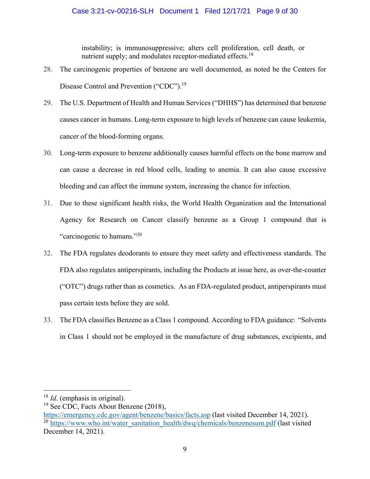instability; is immunosuppressive; alters cell proliferation, cell death, or nutrient supply; and modulates receptor-mediated effects.<sup>18</sup>

- 28. The carcinogenic properties of benzene are well documented, as noted be the Centers for Disease Control and Prevention ("CDC").<sup>19</sup>
- 29. The U.S. Department of Health and Human Services ("DHHS") has determined that benzene causes cancer in humans. Long-term exposure to high levels of benzene can cause leukemia, cancer of the blood-forming organs.
- 30. Long-term exposure to benzene additionally causes harmful effects on the bone marrow and can cause a decrease in red blood cells, leading to anemia. It can also cause excessive bleeding and can affect the immune system, increasing the chance for infection.
- 31. Due to these significant health risks, the World Health Organization and the International Agency for Research on Cancer classify benzene as a Group 1 compound that is "carcinogenic to humans."<sup>20</sup>
- 32. The FDA regulates deodorants to ensure they meet safety and effectiveness standards. The FDA also regulates antiperspirants, including the Products at issue here, as over-the-counter ("OTC") drugs rather than as cosmetics. As an FDA-regulated product, antiperspirants must pass certain tests before they are sold.
- 33. The FDA classifies Benzene as a Class 1 compound. According to FDA guidance: "Solvents in Class 1 should not be employed in the manufacture of drug substances, excipients, and

<sup>18</sup> *Id*. (emphasis in original).

<sup>&</sup>lt;sup>19</sup> See CDC, Facts About Benzene (2018),

https://emergency.cdc.gov/agent/benzene/basics/facts.asp (last visited December 14, 2021). <sup>20</sup> https://www.who.int/water\_sanitation\_health/dwq/chemicals/benzenesum.pdf (last visited December 14, 2021).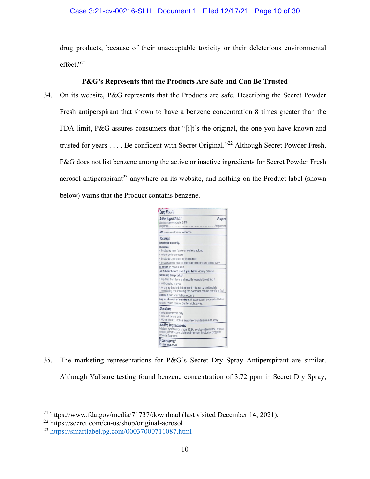# Case 3:21-cv-00216-SLH Document 1 Filed 12/17/21 Page 10 of 30

drug products, because of their unacceptable toxicity or their deleterious environmental effect."21

# **P&G's Represents that the Products Are Safe and Can Be Trusted**

34. On its website, P&G represents that the Products are safe. Describing the Secret Powder Fresh antiperspirant that shown to have a benzene concentration 8 times greater than the FDA limit, P&G assures consumers that "[i]t's the original, the one you have known and trusted for years . . . . Be confident with Secret Original."22 Although Secret Powder Fresh, P&G does not list benzene among the active or inactive ingredients for Secret Powder Fresh aerosol antiperspirant<sup>23</sup> anywhere on its website, and nothing on the Product label (shown below) warns that the Product contains benzene.

| <b>Drug Facts</b>                                                                                                                                                                |
|----------------------------------------------------------------------------------------------------------------------------------------------------------------------------------|
| <b>Active ingredient</b><br>Purpose<br><b>Aluminum chlorohydrate 24%</b><br>lanhydrous)<br>Antiperspirant                                                                        |
| Use reduces underarm wetness                                                                                                                                                     |
| <b>Warnings</b><br>For external use only.                                                                                                                                        |
| Flammable<br>. do not spray near flame or while smoking<br>· contents under pressure<br>· do not crush, puncture or incinerate                                                   |
| . do not expose to heat or store at temperature above 120°F<br>Do not use on broken skin                                                                                         |
| Ask a doctor before use if you have kidney disease                                                                                                                               |
| When using this product                                                                                                                                                          |
| . keep away from face and mouth to avoid breathing it                                                                                                                            |
| · avoid spraying in eyes                                                                                                                                                         |
| . use only as directed; intentional misuse by deliberately<br>concentrating and inhaling the contents can be harmful or fatal                                                    |
| Stop use if rash or irritation occurs                                                                                                                                            |
| Keep out of reach of children. If swallowed, get medical help or<br>contact a Poison Control Center right away.                                                                  |
| <b>Directions</b><br>· apply to underarms only<br>· shake well before use<br>· hold can about 6 inches away from underarm and spray                                              |
| Inactive ingredients<br>Isobutane, hydrofluorocarbon 152A, cyclopentasiloxane, isopropyl<br>myristate, dimethicone, disteardimonium hectorite, propylene<br>carbonate, fragrance |
| PQuestions?<br>1-800-964-1947                                                                                                                                                    |

35. The marketing representations for P&G's Secret Dry Spray Antiperspirant are similar. Although Valisure testing found benzene concentration of 3.72 ppm in Secret Dry Spray,

<sup>21</sup> https://www.fda.gov/media/71737/download (last visited December 14, 2021).

<sup>22</sup> https://secret.com/en-us/shop/original-aerosol

<sup>23</sup> https://smartlabel.pg.com/00037000711087.html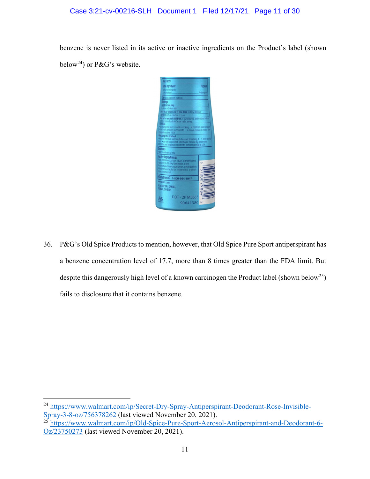# Case 3:21-cv-00216-SLH Document 1 Filed 12/17/21 Page 11 of 30

benzene is never listed in its active or inactive ingredients on the Product's label (shown below<sup>24</sup>) or P&G's website.



36. P&G's Old Spice Products to mention, however, that Old Spice Pure Sport antiperspirant has a benzene concentration level of 17.7, more than 8 times greater than the FDA limit. But despite this dangerously high level of a known carcinogen the Product label (shown below<sup>25</sup>) fails to disclosure that it contains benzene.

<sup>24</sup> https://www.walmart.com/ip/Secret-Dry-Spray-Antiperspirant-Deodorant-Rose-Invisible-Spray-3-8-oz/756378262 (last viewed November 20, 2021).

<sup>&</sup>lt;sup>25</sup> https://www.walmart.com/ip/Old-Spice-Pure-Sport-Aerosol-Antiperspirant-and-Deodorant-6-Oz/23750273 (last viewed November 20, 2021).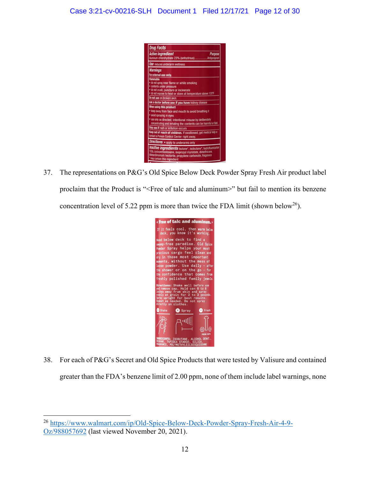

37. The representations on P&G's Old Spice Below Deck Powder Spray Fresh Air product label proclaim that the Product is "<Free of talc and aluminum>" but fail to mention its benzene concentration level of 5.22 ppm is more than twice the FDA limit (shown below<sup>26</sup>).



38. For each of P&G's Secret and Old Spice Products that were tested by Valisure and contained greater than the FDA's benzene limit of 2.00 ppm, none of them include label warnings, none

<sup>26</sup> https://www.walmart.com/ip/Old-Spice-Below-Deck-Powder-Spray-Fresh-Air-4-9- Oz/988057692 (last viewed November 20, 2021).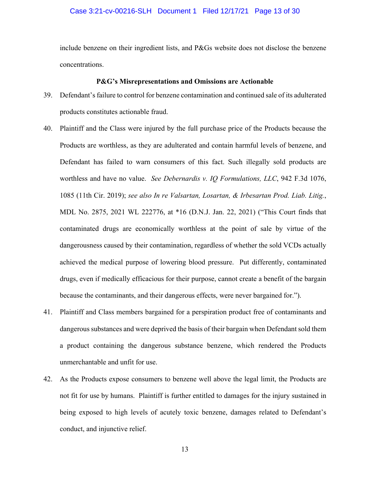### Case 3:21-cv-00216-SLH Document 1 Filed 12/17/21 Page 13 of 30

include benzene on their ingredient lists, and P&Gs website does not disclose the benzene concentrations.

#### **P&G's Misrepresentations and Omissions are Actionable**

- 39. Defendant's failure to control for benzene contamination and continued sale of its adulterated products constitutes actionable fraud.
- 40. Plaintiff and the Class were injured by the full purchase price of the Products because the Products are worthless, as they are adulterated and contain harmful levels of benzene, and Defendant has failed to warn consumers of this fact. Such illegally sold products are worthless and have no value. *See Debernardis v. IQ Formulations, LLC*, 942 F.3d 1076, 1085 (11th Cir. 2019); *see also In re Valsartan, Losartan, & Irbesartan Prod. Liab. Litig.*, MDL No. 2875, 2021 WL 222776, at \*16 (D.N.J. Jan. 22, 2021) ("This Court finds that contaminated drugs are economically worthless at the point of sale by virtue of the dangerousness caused by their contamination, regardless of whether the sold VCDs actually achieved the medical purpose of lowering blood pressure. Put differently, contaminated drugs, even if medically efficacious for their purpose, cannot create a benefit of the bargain because the contaminants, and their dangerous effects, were never bargained for.").
- 41. Plaintiff and Class members bargained for a perspiration product free of contaminants and dangerous substances and were deprived the basis of their bargain when Defendant sold them a product containing the dangerous substance benzene, which rendered the Products unmerchantable and unfit for use.
- 42. As the Products expose consumers to benzene well above the legal limit, the Products are not fit for use by humans. Plaintiff is further entitled to damages for the injury sustained in being exposed to high levels of acutely toxic benzene, damages related to Defendant's conduct, and injunctive relief.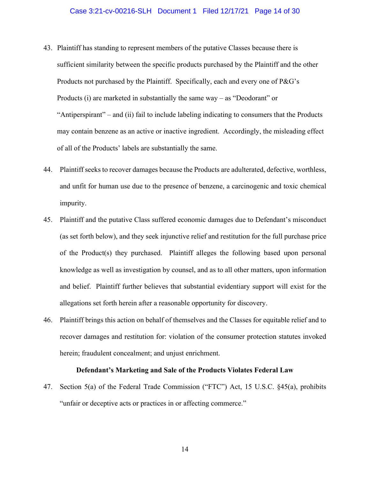- 43. Plaintiff has standing to represent members of the putative Classes because there is sufficient similarity between the specific products purchased by the Plaintiff and the other Products not purchased by the Plaintiff. Specifically, each and every one of P&G's Products (i) are marketed in substantially the same way – as "Deodorant" or "Antiperspirant" – and (ii) fail to include labeling indicating to consumers that the Products may contain benzene as an active or inactive ingredient. Accordingly, the misleading effect of all of the Products' labels are substantially the same.
- 44. Plaintiff seeks to recover damages because the Products are adulterated, defective, worthless, and unfit for human use due to the presence of benzene, a carcinogenic and toxic chemical impurity.
- 45. Plaintiff and the putative Class suffered economic damages due to Defendant's misconduct (as set forth below), and they seek injunctive relief and restitution for the full purchase price of the Product(s) they purchased. Plaintiff alleges the following based upon personal knowledge as well as investigation by counsel, and as to all other matters, upon information and belief. Plaintiff further believes that substantial evidentiary support will exist for the allegations set forth herein after a reasonable opportunity for discovery.
- 46. Plaintiff brings this action on behalf of themselves and the Classes for equitable relief and to recover damages and restitution for: violation of the consumer protection statutes invoked herein; fraudulent concealment; and unjust enrichment.

#### **Defendant's Marketing and Sale of the Products Violates Federal Law**

47. Section 5(a) of the Federal Trade Commission ("FTC") Act, 15 U.S.C. §45(a), prohibits "unfair or deceptive acts or practices in or affecting commerce."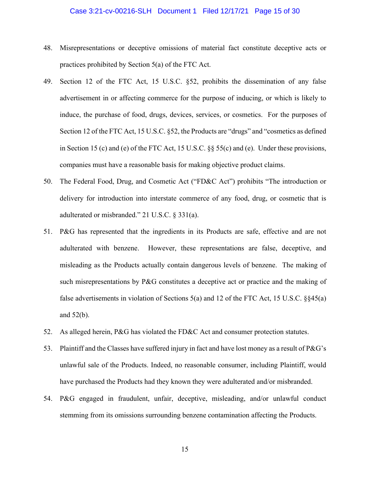## Case 3:21-cv-00216-SLH Document 1 Filed 12/17/21 Page 15 of 30

- 48. Misrepresentations or deceptive omissions of material fact constitute deceptive acts or practices prohibited by Section 5(a) of the FTC Act.
- 49. Section 12 of the FTC Act, 15 U.S.C. §52, prohibits the dissemination of any false advertisement in or affecting commerce for the purpose of inducing, or which is likely to induce, the purchase of food, drugs, devices, services, or cosmetics. For the purposes of Section 12 of the FTC Act, 15 U.S.C. §52, the Products are "drugs" and "cosmetics as defined in Section 15 (c) and (e) of the FTC Act, 15 U.S.C. §§ 55(c) and (e). Under these provisions, companies must have a reasonable basis for making objective product claims.
- 50. The Federal Food, Drug, and Cosmetic Act ("FD&C Act") prohibits "The introduction or delivery for introduction into interstate commerce of any food, drug, or cosmetic that is adulterated or misbranded." 21 U.S.C. § 331(a).
- 51. P&G has represented that the ingredients in its Products are safe, effective and are not adulterated with benzene. However, these representations are false, deceptive, and misleading as the Products actually contain dangerous levels of benzene. The making of such misrepresentations by P&G constitutes a deceptive act or practice and the making of false advertisements in violation of Sections 5(a) and 12 of the FTC Act, 15 U.S.C. §§45(a) and 52(b).
- 52. As alleged herein, P&G has violated the FD&C Act and consumer protection statutes.
- 53. Plaintiff and the Classes have suffered injury in fact and have lost money as a result of P&G's unlawful sale of the Products. Indeed, no reasonable consumer, including Plaintiff, would have purchased the Products had they known they were adulterated and/or misbranded.
- 54. P&G engaged in fraudulent, unfair, deceptive, misleading, and/or unlawful conduct stemming from its omissions surrounding benzene contamination affecting the Products.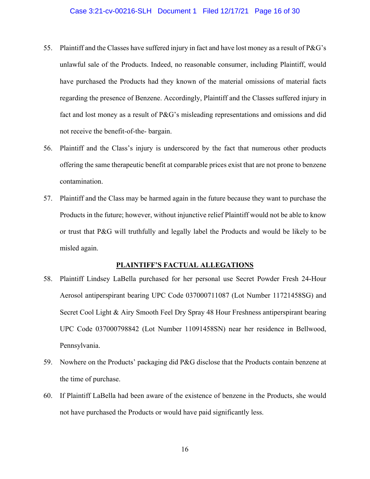- 55. Plaintiff and the Classes have suffered injury in fact and have lost money as a result of P&G's unlawful sale of the Products. Indeed, no reasonable consumer, including Plaintiff, would have purchased the Products had they known of the material omissions of material facts regarding the presence of Benzene. Accordingly, Plaintiff and the Classes suffered injury in fact and lost money as a result of P&G's misleading representations and omissions and did not receive the benefit-of-the- bargain.
- 56. Plaintiff and the Class's injury is underscored by the fact that numerous other products offering the same therapeutic benefit at comparable prices exist that are not prone to benzene contamination.
- 57. Plaintiff and the Class may be harmed again in the future because they want to purchase the Products in the future; however, without injunctive relief Plaintiff would not be able to know or trust that P&G will truthfully and legally label the Products and would be likely to be misled again.

# **PLAINTIFF'S FACTUAL ALLEGATIONS**

- 58. Plaintiff Lindsey LaBella purchased for her personal use Secret Powder Fresh 24-Hour Aerosol antiperspirant bearing UPC Code 037000711087 (Lot Number 11721458SG) and Secret Cool Light & Airy Smooth Feel Dry Spray 48 Hour Freshness antiperspirant bearing UPC Code 037000798842 (Lot Number 11091458SN) near her residence in Bellwood, Pennsylvania.
- 59. Nowhere on the Products' packaging did P&G disclose that the Products contain benzene at the time of purchase.
- 60. If Plaintiff LaBella had been aware of the existence of benzene in the Products, she would not have purchased the Products or would have paid significantly less.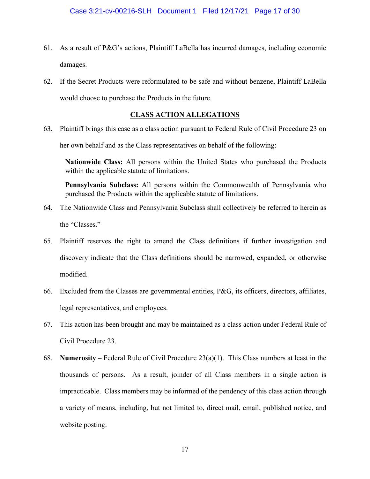- 61. As a result of P&G's actions, Plaintiff LaBella has incurred damages, including economic damages.
- 62. If the Secret Products were reformulated to be safe and without benzene, Plaintiff LaBella would choose to purchase the Products in the future.

# **CLASS ACTION ALLEGATIONS**

63. Plaintiff brings this case as a class action pursuant to Federal Rule of Civil Procedure 23 on her own behalf and as the Class representatives on behalf of the following:

**Nationwide Class:** All persons within the United States who purchased the Products within the applicable statute of limitations.

**Pennsylvania Subclass:** All persons within the Commonwealth of Pennsylvania who purchased the Products within the applicable statute of limitations.

- 64. The Nationwide Class and Pennsylvania Subclass shall collectively be referred to herein as the "Classes."
- 65. Plaintiff reserves the right to amend the Class definitions if further investigation and discovery indicate that the Class definitions should be narrowed, expanded, or otherwise modified.
- 66. Excluded from the Classes are governmental entities, P&G, its officers, directors, affiliates, legal representatives, and employees.
- 67. This action has been brought and may be maintained as a class action under Federal Rule of Civil Procedure 23.
- 68. **Numerosity** Federal Rule of Civil Procedure 23(a)(1). This Class numbers at least in the thousands of persons. As a result, joinder of all Class members in a single action is impracticable. Class members may be informed of the pendency of this class action through a variety of means, including, but not limited to, direct mail, email, published notice, and website posting.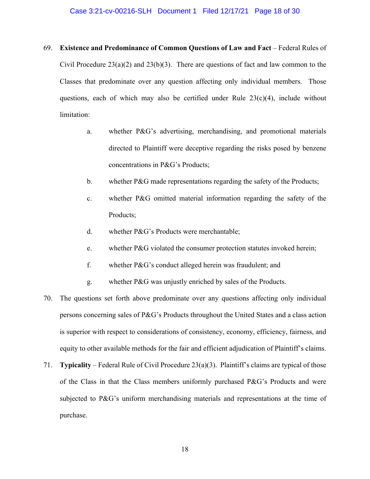- 69. **Existence and Predominance of Common Questions of Law and Fact** Federal Rules of Civil Procedure  $23(a)(2)$  and  $23(b)(3)$ . There are questions of fact and law common to the Classes that predominate over any question affecting only individual members. Those questions, each of which may also be certified under Rule  $23(c)(4)$ , include without limitation:
	- a. whether P&G's advertising, merchandising, and promotional materials directed to Plaintiff were deceptive regarding the risks posed by benzene concentrations in P&G's Products;
	- b. whether P&G made representations regarding the safety of the Products;
	- c. whether P&G omitted material information regarding the safety of the Products;
	- d. whether P&G's Products were merchantable;
	- e. whether P&G violated the consumer protection statutes invoked herein;
	- f. whether P&G's conduct alleged herein was fraudulent; and
	- g. whether P&G was unjustly enriched by sales of the Products.
- 70. The questions set forth above predominate over any questions affecting only individual persons concerning sales of P&G's Products throughout the United States and a class action is superior with respect to considerations of consistency, economy, efficiency, fairness, and equity to other available methods for the fair and efficient adjudication of Plaintiff's claims.
- 71. **Typicality** Federal Rule of Civil Procedure 23(a)(3). Plaintiff's claims are typical of those of the Class in that the Class members uniformly purchased P&G's Products and were subjected to P&G's uniform merchandising materials and representations at the time of purchase.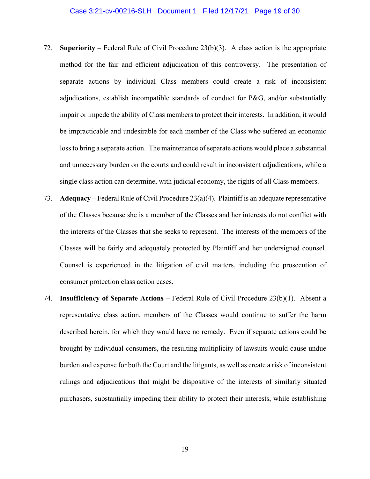- 72. **Superiority** Federal Rule of Civil Procedure  $23(b)(3)$ . A class action is the appropriate method for the fair and efficient adjudication of this controversy. The presentation of separate actions by individual Class members could create a risk of inconsistent adjudications, establish incompatible standards of conduct for P&G, and/or substantially impair or impede the ability of Class members to protect their interests. In addition, it would be impracticable and undesirable for each member of the Class who suffered an economic loss to bring a separate action. The maintenance of separate actions would place a substantial and unnecessary burden on the courts and could result in inconsistent adjudications, while a single class action can determine, with judicial economy, the rights of all Class members.
- 73. **Adequacy** Federal Rule of Civil Procedure 23(a)(4). Plaintiff is an adequate representative of the Classes because she is a member of the Classes and her interests do not conflict with the interests of the Classes that she seeks to represent. The interests of the members of the Classes will be fairly and adequately protected by Plaintiff and her undersigned counsel. Counsel is experienced in the litigation of civil matters, including the prosecution of consumer protection class action cases.
- 74. **Insufficiency of Separate Actions** Federal Rule of Civil Procedure 23(b)(1). Absent a representative class action, members of the Classes would continue to suffer the harm described herein, for which they would have no remedy. Even if separate actions could be brought by individual consumers, the resulting multiplicity of lawsuits would cause undue burden and expense for both the Court and the litigants, as well as create a risk of inconsistent rulings and adjudications that might be dispositive of the interests of similarly situated purchasers, substantially impeding their ability to protect their interests, while establishing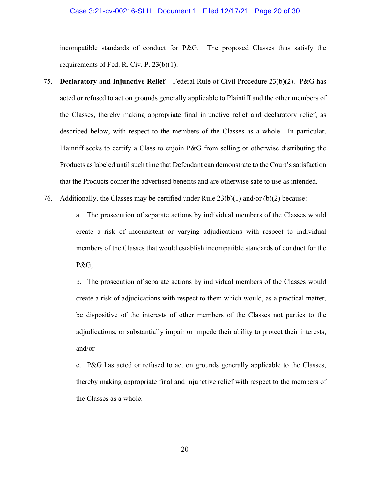## Case 3:21-cv-00216-SLH Document 1 Filed 12/17/21 Page 20 of 30

incompatible standards of conduct for P&G. The proposed Classes thus satisfy the requirements of Fed. R. Civ. P. 23(b)(1).

- 75. **Declaratory and Injunctive Relief** Federal Rule of Civil Procedure 23(b)(2). P&G has acted or refused to act on grounds generally applicable to Plaintiff and the other members of the Classes, thereby making appropriate final injunctive relief and declaratory relief, as described below, with respect to the members of the Classes as a whole. In particular, Plaintiff seeks to certify a Class to enjoin P&G from selling or otherwise distributing the Products as labeled until such time that Defendant can demonstrate to the Court's satisfaction that the Products confer the advertised benefits and are otherwise safe to use as intended.
- 76. Additionally, the Classes may be certified under Rule  $23(b)(1)$  and/or (b)(2) because:

a. The prosecution of separate actions by individual members of the Classes would create a risk of inconsistent or varying adjudications with respect to individual members of the Classes that would establish incompatible standards of conduct for the P&G;

b. The prosecution of separate actions by individual members of the Classes would create a risk of adjudications with respect to them which would, as a practical matter, be dispositive of the interests of other members of the Classes not parties to the adjudications, or substantially impair or impede their ability to protect their interests; and/or

c. P&G has acted or refused to act on grounds generally applicable to the Classes, thereby making appropriate final and injunctive relief with respect to the members of the Classes as a whole.

20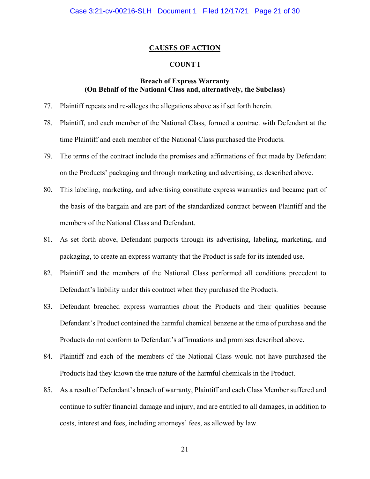# **CAUSES OF ACTION**

# **COUNT I**

# **Breach of Express Warranty (On Behalf of the National Class and, alternatively, the Subclass)**

- 77. Plaintiff repeats and re-alleges the allegations above as if set forth herein.
- 78. Plaintiff, and each member of the National Class, formed a contract with Defendant at the time Plaintiff and each member of the National Class purchased the Products.
- 79. The terms of the contract include the promises and affirmations of fact made by Defendant on the Products' packaging and through marketing and advertising, as described above.
- 80. This labeling, marketing, and advertising constitute express warranties and became part of the basis of the bargain and are part of the standardized contract between Plaintiff and the members of the National Class and Defendant.
- 81. As set forth above, Defendant purports through its advertising, labeling, marketing, and packaging, to create an express warranty that the Product is safe for its intended use.
- 82. Plaintiff and the members of the National Class performed all conditions precedent to Defendant's liability under this contract when they purchased the Products.
- 83. Defendant breached express warranties about the Products and their qualities because Defendant's Product contained the harmful chemical benzene at the time of purchase and the Products do not conform to Defendant's affirmations and promises described above.
- 84. Plaintiff and each of the members of the National Class would not have purchased the Products had they known the true nature of the harmful chemicals in the Product.
- 85. As a result of Defendant's breach of warranty, Plaintiff and each Class Member suffered and continue to suffer financial damage and injury, and are entitled to all damages, in addition to costs, interest and fees, including attorneys' fees, as allowed by law.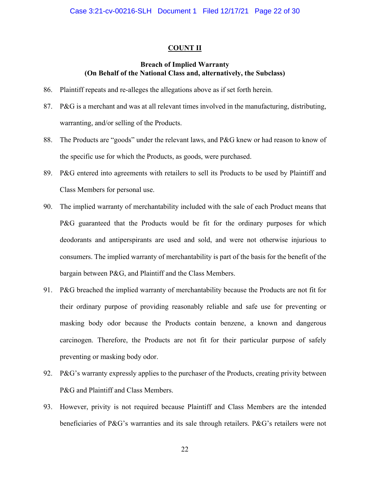#### **COUNT II**

# **Breach of Implied Warranty (On Behalf of the National Class and, alternatively, the Subclass)**

- 86. Plaintiff repeats and re-alleges the allegations above as if set forth herein.
- 87. P&G is a merchant and was at all relevant times involved in the manufacturing, distributing, warranting, and/or selling of the Products.
- 88. The Products are "goods" under the relevant laws, and P&G knew or had reason to know of the specific use for which the Products, as goods, were purchased.
- 89. P&G entered into agreements with retailers to sell its Products to be used by Plaintiff and Class Members for personal use.
- 90. The implied warranty of merchantability included with the sale of each Product means that P&G guaranteed that the Products would be fit for the ordinary purposes for which deodorants and antiperspirants are used and sold, and were not otherwise injurious to consumers. The implied warranty of merchantability is part of the basis for the benefit of the bargain between P&G, and Plaintiff and the Class Members.
- 91. P&G breached the implied warranty of merchantability because the Products are not fit for their ordinary purpose of providing reasonably reliable and safe use for preventing or masking body odor because the Products contain benzene, a known and dangerous carcinogen. Therefore, the Products are not fit for their particular purpose of safely preventing or masking body odor.
- 92. P&G's warranty expressly applies to the purchaser of the Products, creating privity between P&G and Plaintiff and Class Members.
- 93. However, privity is not required because Plaintiff and Class Members are the intended beneficiaries of P&G's warranties and its sale through retailers. P&G's retailers were not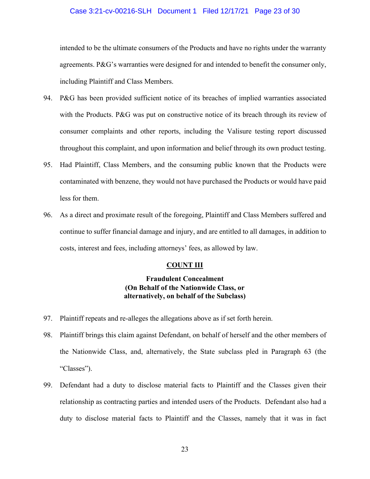# Case 3:21-cv-00216-SLH Document 1 Filed 12/17/21 Page 23 of 30

intended to be the ultimate consumers of the Products and have no rights under the warranty agreements. P&G's warranties were designed for and intended to benefit the consumer only, including Plaintiff and Class Members.

- 94. P&G has been provided sufficient notice of its breaches of implied warranties associated with the Products. P&G was put on constructive notice of its breach through its review of consumer complaints and other reports, including the Valisure testing report discussed throughout this complaint, and upon information and belief through its own product testing.
- 95. Had Plaintiff, Class Members, and the consuming public known that the Products were contaminated with benzene, they would not have purchased the Products or would have paid less for them.
- 96. As a direct and proximate result of the foregoing, Plaintiff and Class Members suffered and continue to suffer financial damage and injury, and are entitled to all damages, in addition to costs, interest and fees, including attorneys' fees, as allowed by law.

# **COUNT III**

# **Fraudulent Concealment (On Behalf of the Nationwide Class, or alternatively, on behalf of the Subclass)**

- 97. Plaintiff repeats and re-alleges the allegations above as if set forth herein.
- 98. Plaintiff brings this claim against Defendant, on behalf of herself and the other members of the Nationwide Class, and, alternatively, the State subclass pled in Paragraph 63 (the "Classes").
- 99. Defendant had a duty to disclose material facts to Plaintiff and the Classes given their relationship as contracting parties and intended users of the Products. Defendant also had a duty to disclose material facts to Plaintiff and the Classes, namely that it was in fact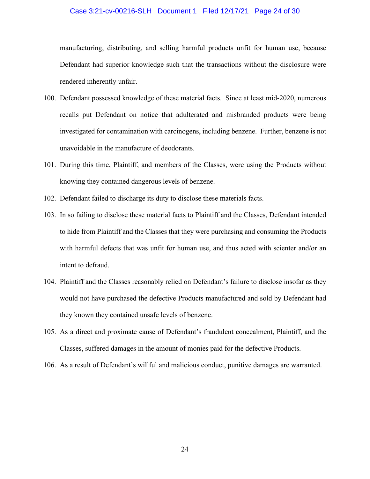#### Case 3:21-cv-00216-SLH Document 1 Filed 12/17/21 Page 24 of 30

manufacturing, distributing, and selling harmful products unfit for human use, because Defendant had superior knowledge such that the transactions without the disclosure were rendered inherently unfair.

- 100. Defendant possessed knowledge of these material facts. Since at least mid-2020, numerous recalls put Defendant on notice that adulterated and misbranded products were being investigated for contamination with carcinogens, including benzene. Further, benzene is not unavoidable in the manufacture of deodorants.
- 101. During this time, Plaintiff, and members of the Classes, were using the Products without knowing they contained dangerous levels of benzene.
- 102. Defendant failed to discharge its duty to disclose these materials facts.
- 103. In so failing to disclose these material facts to Plaintiff and the Classes, Defendant intended to hide from Plaintiff and the Classes that they were purchasing and consuming the Products with harmful defects that was unfit for human use, and thus acted with scienter and/or an intent to defraud.
- 104. Plaintiff and the Classes reasonably relied on Defendant's failure to disclose insofar as they would not have purchased the defective Products manufactured and sold by Defendant had they known they contained unsafe levels of benzene.
- 105. As a direct and proximate cause of Defendant's fraudulent concealment, Plaintiff, and the Classes, suffered damages in the amount of monies paid for the defective Products.
- 106. As a result of Defendant's willful and malicious conduct, punitive damages are warranted.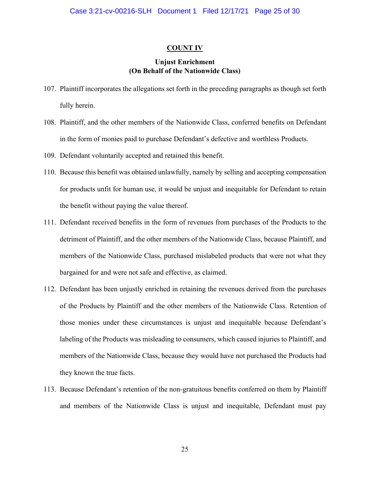#### **COUNT IV**

# **Unjust Enrichment (On Behalf of the Nationwide Class)**

- 107. Plaintiff incorporates the allegations set forth in the preceding paragraphs as though set forth fully herein.
- 108. Plaintiff, and the other members of the Nationwide Class, conferred benefits on Defendant in the form of monies paid to purchase Defendant's defective and worthless Products.
- 109. Defendant voluntarily accepted and retained this benefit.
- 110. Because this benefit was obtained unlawfully, namely by selling and accepting compensation for products unfit for human use, it would be unjust and inequitable for Defendant to retain the benefit without paying the value thereof.
- 111. Defendant received benefits in the form of revenues from purchases of the Products to the detriment of Plaintiff, and the other members of the Nationwide Class, because Plaintiff, and members of the Nationwide Class, purchased mislabeled products that were not what they bargained for and were not safe and effective, as claimed.
- 112. Defendant has been unjustly enriched in retaining the revenues derived from the purchases of the Products by Plaintiff and the other members of the Nationwide Class. Retention of those monies under these circumstances is unjust and inequitable because Defendant's labeling of the Products was misleading to consumers, which caused injuries to Plaintiff, and members of the Nationwide Class, because they would have not purchased the Products had they known the true facts.
- 113. Because Defendant's retention of the non-gratuitous benefits conferred on them by Plaintiff and members of the Nationwide Class is unjust and inequitable, Defendant must pay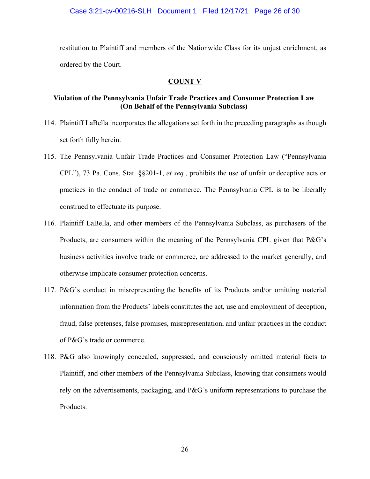restitution to Plaintiff and members of the Nationwide Class for its unjust enrichment, as ordered by the Court.

# **COUNT V**

# **Violation of the Pennsylvania Unfair Trade Practices and Consumer Protection Law (On Behalf of the Pennsylvania Subclass)**

- 114. Plaintiff LaBella incorporates the allegations set forth in the preceding paragraphs as though set forth fully herein.
- 115. The Pennsylvania Unfair Trade Practices and Consumer Protection Law ("Pennsylvania CPL"), 73 Pa. Cons. Stat. §§201-1, *et seq.*, prohibits the use of unfair or deceptive acts or practices in the conduct of trade or commerce. The Pennsylvania CPL is to be liberally construed to effectuate its purpose.
- 116. Plaintiff LaBella, and other members of the Pennsylvania Subclass, as purchasers of the Products, are consumers within the meaning of the Pennsylvania CPL given that P&G's business activities involve trade or commerce, are addressed to the market generally, and otherwise implicate consumer protection concerns.
- 117. P&G's conduct in misrepresenting the benefits of its Products and/or omitting material information from the Products' labels constitutes the act, use and employment of deception, fraud, false pretenses, false promises, misrepresentation, and unfair practices in the conduct of P&G's trade or commerce.
- 118. P&G also knowingly concealed, suppressed, and consciously omitted material facts to Plaintiff, and other members of the Pennsylvania Subclass, knowing that consumers would rely on the advertisements, packaging, and P&G's uniform representations to purchase the Products.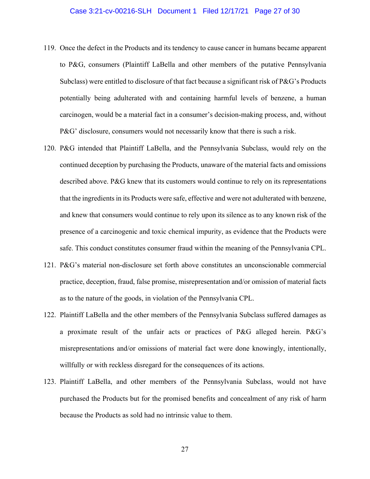#### Case 3:21-cv-00216-SLH Document 1 Filed 12/17/21 Page 27 of 30

- 119. Once the defect in the Products and its tendency to cause cancer in humans became apparent to P&G, consumers (Plaintiff LaBella and other members of the putative Pennsylvania Subclass) were entitled to disclosure of that fact because a significant risk of P&G's Products potentially being adulterated with and containing harmful levels of benzene, a human carcinogen, would be a material fact in a consumer's decision-making process, and, without P&G' disclosure, consumers would not necessarily know that there is such a risk.
- 120. P&G intended that Plaintiff LaBella, and the Pennsylvania Subclass, would rely on the continued deception by purchasing the Products, unaware of the material facts and omissions described above. P&G knew that its customers would continue to rely on its representations that the ingredients in its Products were safe, effective and were not adulterated with benzene, and knew that consumers would continue to rely upon its silence as to any known risk of the presence of a carcinogenic and toxic chemical impurity, as evidence that the Products were safe. This conduct constitutes consumer fraud within the meaning of the Pennsylvania CPL.
- 121. P&G's material non-disclosure set forth above constitutes an unconscionable commercial practice, deception, fraud, false promise, misrepresentation and/or omission of material facts as to the nature of the goods, in violation of the Pennsylvania CPL.
- 122. Plaintiff LaBella and the other members of the Pennsylvania Subclass suffered damages as a proximate result of the unfair acts or practices of P&G alleged herein. P&G's misrepresentations and/or omissions of material fact were done knowingly, intentionally, willfully or with reckless disregard for the consequences of its actions.
- 123. Plaintiff LaBella, and other members of the Pennsylvania Subclass, would not have purchased the Products but for the promised benefits and concealment of any risk of harm because the Products as sold had no intrinsic value to them.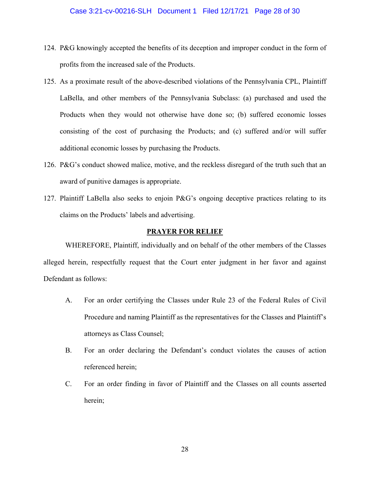- 124. P&G knowingly accepted the benefits of its deception and improper conduct in the form of profits from the increased sale of the Products.
- 125. As a proximate result of the above-described violations of the Pennsylvania CPL, Plaintiff LaBella, and other members of the Pennsylvania Subclass: (a) purchased and used the Products when they would not otherwise have done so; (b) suffered economic losses consisting of the cost of purchasing the Products; and (c) suffered and/or will suffer additional economic losses by purchasing the Products.
- 126. P&G's conduct showed malice, motive, and the reckless disregard of the truth such that an award of punitive damages is appropriate.
- 127. Plaintiff LaBella also seeks to enjoin P&G's ongoing deceptive practices relating to its claims on the Products' labels and advertising.

# **PRAYER FOR RELIEF**

WHEREFORE, Plaintiff, individually and on behalf of the other members of the Classes alleged herein, respectfully request that the Court enter judgment in her favor and against Defendant as follows:

- A. For an order certifying the Classes under Rule 23 of the Federal Rules of Civil Procedure and naming Plaintiff as the representatives for the Classes and Plaintiff's attorneys as Class Counsel;
- B. For an order declaring the Defendant's conduct violates the causes of action referenced herein;
- C. For an order finding in favor of Plaintiff and the Classes on all counts asserted herein;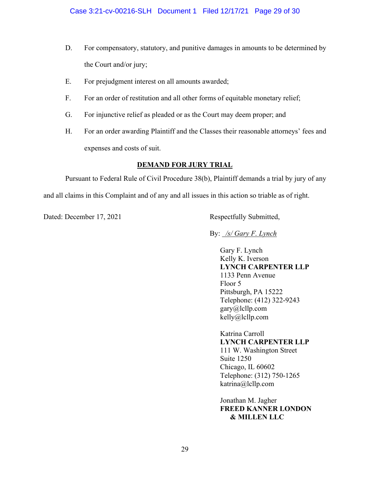- D. For compensatory, statutory, and punitive damages in amounts to be determined by the Court and/or jury;
- E. For prejudgment interest on all amounts awarded;
- F. For an order of restitution and all other forms of equitable monetary relief;
- G. For injunctive relief as pleaded or as the Court may deem proper; and
- H. For an order awarding Plaintiff and the Classes their reasonable attorneys' fees and expenses and costs of suit.

# **DEMAND FOR JURY TRIAL**

Pursuant to Federal Rule of Civil Procedure 38(b), Plaintiff demands a trial by jury of any and all claims in this Complaint and of any and all issues in this action so triable as of right.

Dated: December 17, 2021 Respectfully Submitted,

By: */s/ Gary F. Lynch*

Gary F. Lynch Kelly K. Iverson **LYNCH CARPENTER LLP**  1133 Penn Avenue Floor 5 Pittsburgh, PA 15222 Telephone: (412) 322-9243 gary@lcllp.com kelly@lcllp.com

Katrina Carroll **LYNCH CARPENTER LLP**  111 W. Washington Street Suite 1250 Chicago, IL 60602 Telephone: (312) 750-1265 katrina@lcllp.com

Jonathan M. Jagher **FREED KANNER LONDON & MILLEN LLC**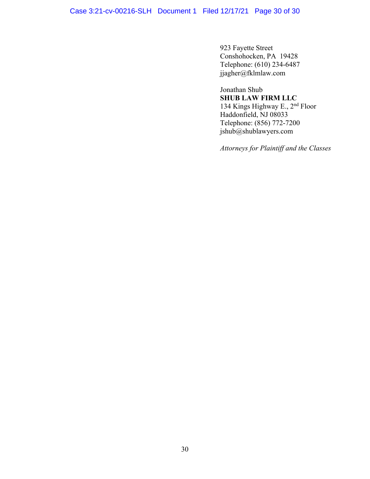Case 3:21-cv-00216-SLH Document 1 Filed 12/17/21 Page 30 of 30

923 Fayette Street Conshohocken, PA 19428 Telephone: (610) 234-6487 jjagher@fklmlaw.com

Jonathan Shub **SHUB LAW FIRM LLC**  134 Kings Highway E., 2nd Floor Haddonfield, NJ 08033 Telephone: (856) 772-7200 jshub@shublawyers.com

*Attorneys for Plaintiff and the Classes*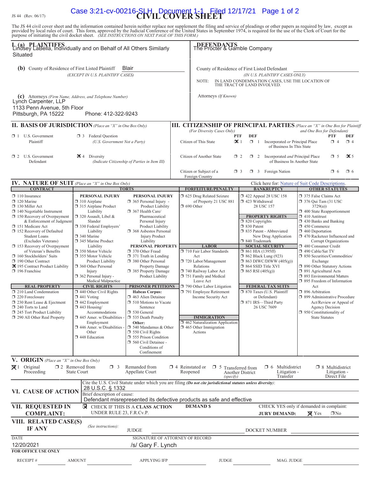# JS 44 (Rev. 06/17) **CIVIL COVER SHEET** Case 3:21-cv-00216-SLH Document 1-1 Filed 12/17/21 Page 1 of 2

The JS 44 civil cover sheet and the information contained herein neither replace nor supplement the filing and service of pleadings or other papers as required by law, except as provided by local rules of court. This form,

| I. (a) PLAINTIFFS<br>Lindsey LaBella, Individually and on Behalf of All Others Similarly<br>Situated                                                                                                                                                                                                                                                                                                                                                                                                                                                                                                                                                                         |                                                                                                                                                                                                                                                                                                                                                                                                                                                                                                                                                                                                                      |                                                                                                                                                                                                                                                                                                                                                                                                                                                                                                                                                                                                                                                                                                                                                 | DEFENDANTS<br>The Procter & Gamble Company                                                                                                                                                                                                                                                                                                                                                                                                              |                                                                                                                                                                                                                                                                                                                                                                                                                                                                                                                        |                                                                                                                                                                                                                                                                                                                                                                                                                                                                                                                                                                                                                                                                                                          |  |
|------------------------------------------------------------------------------------------------------------------------------------------------------------------------------------------------------------------------------------------------------------------------------------------------------------------------------------------------------------------------------------------------------------------------------------------------------------------------------------------------------------------------------------------------------------------------------------------------------------------------------------------------------------------------------|----------------------------------------------------------------------------------------------------------------------------------------------------------------------------------------------------------------------------------------------------------------------------------------------------------------------------------------------------------------------------------------------------------------------------------------------------------------------------------------------------------------------------------------------------------------------------------------------------------------------|-------------------------------------------------------------------------------------------------------------------------------------------------------------------------------------------------------------------------------------------------------------------------------------------------------------------------------------------------------------------------------------------------------------------------------------------------------------------------------------------------------------------------------------------------------------------------------------------------------------------------------------------------------------------------------------------------------------------------------------------------|---------------------------------------------------------------------------------------------------------------------------------------------------------------------------------------------------------------------------------------------------------------------------------------------------------------------------------------------------------------------------------------------------------------------------------------------------------|------------------------------------------------------------------------------------------------------------------------------------------------------------------------------------------------------------------------------------------------------------------------------------------------------------------------------------------------------------------------------------------------------------------------------------------------------------------------------------------------------------------------|----------------------------------------------------------------------------------------------------------------------------------------------------------------------------------------------------------------------------------------------------------------------------------------------------------------------------------------------------------------------------------------------------------------------------------------------------------------------------------------------------------------------------------------------------------------------------------------------------------------------------------------------------------------------------------------------------------|--|
| Blair<br>(b) County of Residence of First Listed Plaintiff<br>(EXCEPT IN U.S. PLAINTIFF CASES)                                                                                                                                                                                                                                                                                                                                                                                                                                                                                                                                                                               |                                                                                                                                                                                                                                                                                                                                                                                                                                                                                                                                                                                                                      |                                                                                                                                                                                                                                                                                                                                                                                                                                                                                                                                                                                                                                                                                                                                                 | County of Residence of First Listed Defendant<br>(IN U.S. PLAINTIFF CASES ONLY)<br>IN LAND CONDEMNATION CASES, USE THE LOCATION OF<br>NOTE:<br>THE TRACT OF LAND INVOLVED.                                                                                                                                                                                                                                                                              |                                                                                                                                                                                                                                                                                                                                                                                                                                                                                                                        |                                                                                                                                                                                                                                                                                                                                                                                                                                                                                                                                                                                                                                                                                                          |  |
| (c) Attorneys (Firm Name, Address, and Telephone Number)<br>Lynch Carpenter, LLP<br>1133 Penn Avenue, 5th Floor<br>Phone: 412-322-9243<br>Pittsburgh, PA 15222                                                                                                                                                                                                                                                                                                                                                                                                                                                                                                               |                                                                                                                                                                                                                                                                                                                                                                                                                                                                                                                                                                                                                      |                                                                                                                                                                                                                                                                                                                                                                                                                                                                                                                                                                                                                                                                                                                                                 | Attorneys (If Known)                                                                                                                                                                                                                                                                                                                                                                                                                                    |                                                                                                                                                                                                                                                                                                                                                                                                                                                                                                                        |                                                                                                                                                                                                                                                                                                                                                                                                                                                                                                                                                                                                                                                                                                          |  |
| <b>II. BASIS OF JURISDICTION</b> (Place an "X" in One Box Only)                                                                                                                                                                                                                                                                                                                                                                                                                                                                                                                                                                                                              |                                                                                                                                                                                                                                                                                                                                                                                                                                                                                                                                                                                                                      |                                                                                                                                                                                                                                                                                                                                                                                                                                                                                                                                                                                                                                                                                                                                                 | <b>III. CITIZENSHIP OF PRINCIPAL PARTIES</b> (Place an "X" in One Box for Plaintiff                                                                                                                                                                                                                                                                                                                                                                     |                                                                                                                                                                                                                                                                                                                                                                                                                                                                                                                        |                                                                                                                                                                                                                                                                                                                                                                                                                                                                                                                                                                                                                                                                                                          |  |
| $\Box$ 1 U.S. Government<br>Plaintiff                                                                                                                                                                                                                                                                                                                                                                                                                                                                                                                                                                                                                                        | <b>1</b> 3 Federal Question<br>(U.S. Government Not a Party)                                                                                                                                                                                                                                                                                                                                                                                                                                                                                                                                                         |                                                                                                                                                                                                                                                                                                                                                                                                                                                                                                                                                                                                                                                                                                                                                 | (For Diversity Cases Only)<br>Citizen of This State                                                                                                                                                                                                                                                                                                                                                                                                     | <b>DEF</b><br>PTF<br>$\mathbf{X}$ 1<br>$\Box$ 1<br>Incorporated or Principal Place<br>of Business In This State                                                                                                                                                                                                                                                                                                                                                                                                        | and One Box for Defendant)<br><b>PTF</b><br><b>DEF</b><br>$\Box$ 4<br>$\Box$ 4                                                                                                                                                                                                                                                                                                                                                                                                                                                                                                                                                                                                                           |  |
| $\Box$ 2 U.S. Government<br>Defendant                                                                                                                                                                                                                                                                                                                                                                                                                                                                                                                                                                                                                                        | $\mathbf{\times}$ 4 Diversity<br>(Indicate Citizenship of Parties in Item III)                                                                                                                                                                                                                                                                                                                                                                                                                                                                                                                                       |                                                                                                                                                                                                                                                                                                                                                                                                                                                                                                                                                                                                                                                                                                                                                 | Citizen of Another State                                                                                                                                                                                                                                                                                                                                                                                                                                | $\Box$ 2 Incorporated <i>and</i> Principal Place<br>$\Box$ 2<br>of Business In Another State                                                                                                                                                                                                                                                                                                                                                                                                                           | $\mathbf{\times}$ 5<br>$\Box$ 5                                                                                                                                                                                                                                                                                                                                                                                                                                                                                                                                                                                                                                                                          |  |
|                                                                                                                                                                                                                                                                                                                                                                                                                                                                                                                                                                                                                                                                              |                                                                                                                                                                                                                                                                                                                                                                                                                                                                                                                                                                                                                      |                                                                                                                                                                                                                                                                                                                                                                                                                                                                                                                                                                                                                                                                                                                                                 | Citizen or Subject of a<br>Foreign Country                                                                                                                                                                                                                                                                                                                                                                                                              | $\Box$ 3 Foreign Nation<br>□ 3                                                                                                                                                                                                                                                                                                                                                                                                                                                                                         | $\Box$ 6<br>$\Box$ 6                                                                                                                                                                                                                                                                                                                                                                                                                                                                                                                                                                                                                                                                                     |  |
| IV. NATURE OF SUIT (Place an "X" in One Box Only)                                                                                                                                                                                                                                                                                                                                                                                                                                                                                                                                                                                                                            |                                                                                                                                                                                                                                                                                                                                                                                                                                                                                                                                                                                                                      |                                                                                                                                                                                                                                                                                                                                                                                                                                                                                                                                                                                                                                                                                                                                                 |                                                                                                                                                                                                                                                                                                                                                                                                                                                         | Click here for: Nature of Suit Code Descriptions.                                                                                                                                                                                                                                                                                                                                                                                                                                                                      |                                                                                                                                                                                                                                                                                                                                                                                                                                                                                                                                                                                                                                                                                                          |  |
| <b>CONTRACT</b><br>$\Box$ 110 Insurance<br>$\Box$ 120 Marine<br>$\Box$ 130 Miller Act<br>$\Box$ 140 Negotiable Instrument<br>$\Box$ 150 Recovery of Overpayment<br>& Enforcement of Judgment<br>151 Medicare Act<br>□ 152 Recovery of Defaulted<br><b>Student Loans</b><br>(Excludes Veterans)<br>$\Box$ 153 Recovery of Overpayment<br>of Veteran's Benefits<br>160 Stockholders' Suits<br>190 Other Contract<br>区 195 Contract Product Liability<br>$\Box$ 196 Franchise<br><b>REAL PROPERTY</b><br>$\Box$ 210 Land Condemnation<br>220 Foreclosure<br>$\Box$ 230 Rent Lease & Ejectment<br>240 Torts to Land<br>245 Tort Product Liability<br>290 All Other Real Property | PERSONAL INJURY<br>$\Box$ 310 Airplane<br>□ 315 Airplane Product<br>Liability<br>320 Assault, Libel &<br>Slander<br>□ 330 Federal Employers'<br>Liability<br>340 Marine<br>345 Marine Product<br>Liability<br>□ 350 Motor Vehicle<br>355 Motor Vehicle<br>Product Liability<br>360 Other Personal<br>Injury<br>362 Personal Injury -<br>Medical Malpractice<br><b>CIVIL RIGHTS</b><br>$\Box$ 440 Other Civil Rights<br>$\Box$ 441 Voting<br>442 Employment<br>$\Box$ 443 Housing/<br>Accommodations<br>$\square$ 445 Amer. w/Disabilities<br>Employment<br>$\Box$ 446 Amer. w/Disabilities<br>Other<br>448 Education | <b>TORTS</b><br><b>PERSONAL INJURY</b><br>$\Box$ 365 Personal Injury -<br>Product Liability<br>$\Box$ 367 Health Care/<br>Pharmaceutical<br>Personal Injury<br>Product Liability<br><b>1</b> 368 Asbestos Personal<br><b>Injury Product</b><br>Liability<br>PERSONAL PROPERTY<br>□ 370 Other Fraud<br>$\Box$ 371 Truth in Lending<br>380 Other Personal<br>Property Damage<br>385 Property Damage<br>Product Liability<br><b>PRISONER PETITIONS</b><br><b>Habeas Corpus:</b><br>$\Box$ 463 Alien Detainee<br>$\Box$ 510 Motions to Vacate<br>Sentence<br>□ 530 General<br>535 Death Penalty<br>Other:<br>$\Box$ 540 Mandamus & Other<br>$\Box$ 550 Civil Rights<br>555 Prison Condition<br>560 Civil Detainee -<br>Conditions of<br>Confinement | <b>FORFEITURE/PENALTY</b><br>5 625 Drug Related Seizure<br>of Property 21 USC 881<br>$\Box$ 690 Other<br><b>LABOR</b><br>710 Fair Labor Standards<br>Act<br>720 Labor/Management<br>Relations<br>740 Railway Labor Act<br>751 Family and Medical<br>Leave Act<br>790 Other Labor Litigation<br>791 Employee Retirement<br>Income Security Act<br><b>IMMIGRATION</b><br>$\Box$ 462 Naturalization Application<br>$\Box$ 465 Other Immigration<br>Actions | <b>BANKRUPTCY</b><br>158 122 Appeal 28 USC 158<br>423 Withdrawal<br>28 USC 157<br><b>PROPERTY RIGHTS</b><br>$\Box$ 820 Copyrights<br>□ 830 Patent<br>□ 835 Patent - Abbreviated<br>New Drug Application<br>□ 840 Trademark<br><b>SOCIAL SECURITY</b><br>$\Box$ 861 HIA (1395ff)<br>$\Box$ 862 Black Lung (923)<br>$\Box$ 863 DIWC/DIWW (405(g))<br>□ 864 SSID Title XVI<br>$\Box$ 865 RSI (405(g))<br><b>FEDERAL TAX SUITS</b><br>7 870 Taxes (U.S. Plaintiff<br>or Defendant)<br>□ 871 IRS-Third Party<br>26 USC 7609 | <b>OTHER STATUTES</b><br>375 False Claims Act<br>$\Box$ 376 Qui Tam (31 USC<br>3729(a)<br>1 400 State Reapportionment<br>$\Box$ 410 Antitrust<br>$\Box$ 430 Banks and Banking<br>$\Box$ 450 Commerce<br>$\Box$ 460 Deportation<br>□ 470 Racketeer Influenced and<br>Corrupt Organizations<br>480 Consumer Credit<br>□ 490 Cable/Sat TV<br>□ 850 Securities/Commodities/<br>Exchange<br>1 890 Other Statutory Actions<br>□ 891 Agricultural Acts<br>1 893 Environmental Matters<br>□ 895 Freedom of Information<br>Act<br>$\Box$ 896 Arbitration<br>□ 899 Administrative Procedure<br>Act/Review or Appeal of<br><b>Agency Decision</b><br><sup>1</sup> 950 Constitutionality of<br><b>State Statutes</b> |  |
| <b>V. ORIGIN</b> (Place an "X" in One Box Only)                                                                                                                                                                                                                                                                                                                                                                                                                                                                                                                                                                                                                              |                                                                                                                                                                                                                                                                                                                                                                                                                                                                                                                                                                                                                      |                                                                                                                                                                                                                                                                                                                                                                                                                                                                                                                                                                                                                                                                                                                                                 |                                                                                                                                                                                                                                                                                                                                                                                                                                                         |                                                                                                                                                                                                                                                                                                                                                                                                                                                                                                                        |                                                                                                                                                                                                                                                                                                                                                                                                                                                                                                                                                                                                                                                                                                          |  |
| $\boxtimes$ 1 Original<br>Proceeding                                                                                                                                                                                                                                                                                                                                                                                                                                                                                                                                                                                                                                         | $\Box$ 2 Removed from<br>$\Box$ 3<br>State Court                                                                                                                                                                                                                                                                                                                                                                                                                                                                                                                                                                     | Remanded from<br>Appellate Court                                                                                                                                                                                                                                                                                                                                                                                                                                                                                                                                                                                                                                                                                                                | $\Box$ 4 Reinstated or<br>$\Box$ 5<br>Reopened<br>(specify)                                                                                                                                                                                                                                                                                                                                                                                             | Multidistrict<br>$\Box$ 6<br>Transferred from<br>Litigation -<br>Another District<br>Transfer                                                                                                                                                                                                                                                                                                                                                                                                                          | $\Box$ 8 Multidistrict<br>Litigation -<br>Direct File                                                                                                                                                                                                                                                                                                                                                                                                                                                                                                                                                                                                                                                    |  |
| VI. CAUSE OF ACTION                                                                                                                                                                                                                                                                                                                                                                                                                                                                                                                                                                                                                                                          | 28 U.S.C. § 1332<br>Brief description of cause:                                                                                                                                                                                                                                                                                                                                                                                                                                                                                                                                                                      |                                                                                                                                                                                                                                                                                                                                                                                                                                                                                                                                                                                                                                                                                                                                                 | Cite the U.S. Civil Statute under which you are filing (Do not cite jurisdictional statutes unless diversity):<br>Defendant misrepresented its defective products as safe and effective                                                                                                                                                                                                                                                                 |                                                                                                                                                                                                                                                                                                                                                                                                                                                                                                                        |                                                                                                                                                                                                                                                                                                                                                                                                                                                                                                                                                                                                                                                                                                          |  |
| VII. REQUESTED IN<br><b>COMPLAINT:</b>                                                                                                                                                                                                                                                                                                                                                                                                                                                                                                                                                                                                                                       | ⊠<br>UNDER RULE 23, F.R.Cv.P.                                                                                                                                                                                                                                                                                                                                                                                                                                                                                                                                                                                        | CHECK IF THIS IS A CLASS ACTION                                                                                                                                                                                                                                                                                                                                                                                                                                                                                                                                                                                                                                                                                                                 | <b>DEMANDS</b>                                                                                                                                                                                                                                                                                                                                                                                                                                          | <b>JURY DEMAND:</b>                                                                                                                                                                                                                                                                                                                                                                                                                                                                                                    | CHECK YES only if demanded in complaint:<br>$\boxtimes$ Yes<br>$\Box$ No                                                                                                                                                                                                                                                                                                                                                                                                                                                                                                                                                                                                                                 |  |
| <b>IF ANY</b>                                                                                                                                                                                                                                                                                                                                                                                                                                                                                                                                                                                                                                                                | VIII. RELATED CASE(S)<br>(See instructions):<br><b>JUDGE</b>                                                                                                                                                                                                                                                                                                                                                                                                                                                                                                                                                         |                                                                                                                                                                                                                                                                                                                                                                                                                                                                                                                                                                                                                                                                                                                                                 |                                                                                                                                                                                                                                                                                                                                                                                                                                                         | DOCKET NUMBER                                                                                                                                                                                                                                                                                                                                                                                                                                                                                                          |                                                                                                                                                                                                                                                                                                                                                                                                                                                                                                                                                                                                                                                                                                          |  |
| <b>DATE</b><br>12/20/2021<br><b>FOR OFFICE USE ONLY</b>                                                                                                                                                                                                                                                                                                                                                                                                                                                                                                                                                                                                                      | SIGNATURE OF ATTORNEY OF RECORD<br>/s/ Gary F. Lynch                                                                                                                                                                                                                                                                                                                                                                                                                                                                                                                                                                 |                                                                                                                                                                                                                                                                                                                                                                                                                                                                                                                                                                                                                                                                                                                                                 |                                                                                                                                                                                                                                                                                                                                                                                                                                                         |                                                                                                                                                                                                                                                                                                                                                                                                                                                                                                                        |                                                                                                                                                                                                                                                                                                                                                                                                                                                                                                                                                                                                                                                                                                          |  |
| RECEIPT#                                                                                                                                                                                                                                                                                                                                                                                                                                                                                                                                                                                                                                                                     | <b>AMOUNT</b>                                                                                                                                                                                                                                                                                                                                                                                                                                                                                                                                                                                                        | <b>APPLYING IFP</b>                                                                                                                                                                                                                                                                                                                                                                                                                                                                                                                                                                                                                                                                                                                             | <b>JUDGE</b>                                                                                                                                                                                                                                                                                                                                                                                                                                            | MAG. JUDGE                                                                                                                                                                                                                                                                                                                                                                                                                                                                                                             |                                                                                                                                                                                                                                                                                                                                                                                                                                                                                                                                                                                                                                                                                                          |  |